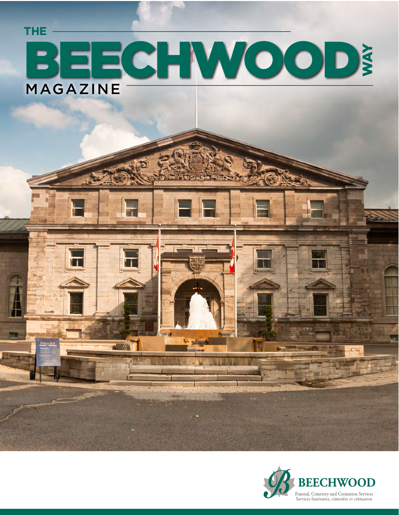# BEECHWOOD MAGAZINE **THE** WAY

 $\overline{1}$   $\sqrt{1}$ 

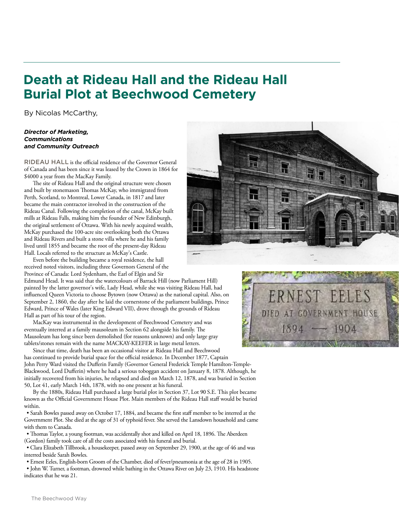### **Death at Rideau Hall and the Rideau Hall Burial Plot at Beechwood Cemetery**

By Nicolas McCarthy,

#### *Director of Marketing, Communications and Community Outreach*

RIDEAU HALL is the official residence of the Governor General of Canada and has been since it was leased by the Crown in 1864 for \$4000 a year from the MacKay Family.

The site of Rideau Hall and the original structure were chosen and built by stonemason Thomas McKay, who immigrated from Perth, Scotland, to Montreal, Lower Canada, in 1817 and later became the main contractor involved in the construction of the Rideau Canal. Following the completion of the canal, McKay built mills at Rideau Falls, making him the founder of New Edinburgh, the original settlement of Ottawa. With his newly acquired wealth, McKay purchased the 100-acre site overlooking both the Ottawa and Rideau Rivers and built a stone villa where he and his family lived until 1855 and became the root of the present-day Rideau Hall. Locals referred to the structure as McKay's Castle.

Even before the building became a royal residence, the hall received noted visitors, including three Governors General of the Province of Canada: Lord Sydenham, the Earl of Elgin and Sir

Edmund Head. It was said that the watercolours of Barrack Hill (now Parliament Hill) painted by the latter governor's wife, Lady Head, while she was visiting Rideau Hall, had influenced Queen Victoria to choose Bytown (now Ottawa) as the national capital. Also, on September 2, 1860, the day after he laid the cornerstone of the parliament buildings, Prince Edward, Prince of Wales (later King Edward VII), drove through the grounds of Rideau Hall as part of his tour of the region.

MacKay was instrumental in the development of Beechwood Cemetery and was eventually interred at a family mausoleum in Section 62 alongside his family. The Mausoleum has long since been demolished (for reasons unknown) and only large gray tablets/stones remain with the name MACKAY-KEEFER in large metal letters.

Since that time, death has been an occasional visitor at Rideau Hall and Beechwood has continued to provide burial space for the official residence. In December 1877, Captain John Perry Ward visited the Dufferin Family (Governor General Frederick Temple Hamilton-Temple-Blackwood, Lord Dufferin) where he had a serious toboggan accident on January 8, 1878. Although, he initially recovered from his injuries, he relapsed and died on March 12, 1878, and was buried in Section 50, Lot 41, early March 14th, 1878, with no one present at his funeral.

By the 1880s, Rideau Hall purchased a large burial plot in Section 37, Lot 90 S.E. This plot became known as the Official Government House Plot. Main members of the Rideau Hall staff would be buried within.

• Sarah Bowles passed away on October 17, 1884, and became the first staff member to be interred at the Government Plot. She died at the age of 31 of typhoid fever. She served the Lansdown household and came with them to Canada.

• Thomas Taylor, a young footman, was accidentally shot and killed on April 18, 1896. The Aberdeen (Gordon) family took care of all the costs associated with his funeral and burial.

• Clara Elizabeth Tillbrook, a housekeeper, passed away on September 29, 1900, at the age of 46 and was interred beside Sarah Bowles.

• Ernest Eeles, English-born Groom of the Chamber, died of fever/pneumonia at the age of 28 in 1905.

• John W. Turner, a footman, drowned while bathing in the Ottawa River on July 23, 1910. His headstone indicates that he was 21.





The Beechwood Way

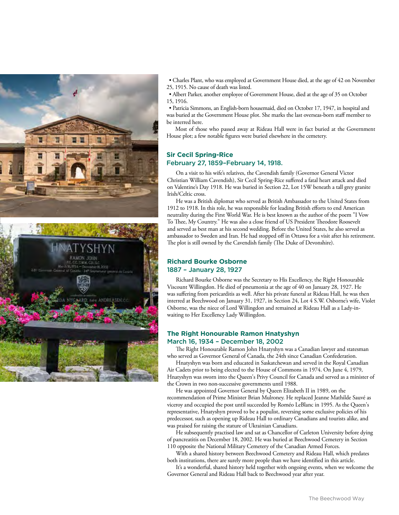

• Charles Plant, who was employed at Government House died, at the age of 42 on November 25, 1915. No cause of death was listed.

• Albert Parker, another employee of Government House, died at the age of 35 on October 15, 1916.

• Patricia Simmons, an English-born housemaid, died on October 17, 1947, in hospital and was buried at the Government House plot. She marks the last overseas-born staff member to be interred here.

Most of those who passed away at Rideau Hall were in fact buried at the Government House plot; a few notable figures were buried elsewhere in the cemetery.

#### **Sir Cecil Spring-Rice**  February 27, 1859–February 14, 1918.

On a visit to his wife's relatives, the Cavendish family (Governor General Victor Christian William Cavendish), Sir Cecil Spring-Rice suffered a fatal heart attack and died on Valentine's Day 1918. He was buried in Section 22, Lot 15W beneath a tall grey granite Irish/Celtic cross.

He was a British diplomat who served as British Ambassador to the United States from 1912 to 1918. In this role, he was responsible for leading British efforts to end American neutrality during the First World War. He is best known as the author of the poem "I Vow To Thee, My Country." He was also a close friend of US President Theodore Roosevelt and served as best man at his second wedding. Before the United States, he also served as ambassador to Sweden and Iran. He had stopped off in Ottawa for a visit after his retirement. The plot is still owned by the Cavendish family (The Duke of Devonshire).

#### **Richard Bourke Osborne**  1887 – January 28, 1927

Richard Bourke Osborne was the Secretary to His Excellency, the Right Honourable Viscount Willingdon. He died of pneumonia at the age of 40 on January 28, 1927. He was suffering from pericarditis as well. After his private funeral at Rideau Hall, he was then interred at Beechwood on January 31, 1927, in Section 24, Lot 4 S.W. Osborne's wife, Violet Osborne, was the niece of Lord Willingdon and remained at Rideau Hall as a Lady-inwaiting to Her Excellency Lady Willingdon.

#### **The Right Honourable Ramon Hnatyshyn** March 16, 1934 – December 18, 2002

The Right Honourable Ramon John Hnatyshyn was a Canadian lawyer and statesman who served as Governor General of Canada, the 24th since Canadian Confederation.

Hnatyshyn was born and educated in Saskatchewan and served in the Royal Canadian Air Cadets prior to being elected to the House of Commons in 1974. On June 4, 1979, Hnatyshyn was sworn into the Queen's Privy Council for Canada and served as a minister of the Crown in two non-successive governments until 1988.

He was appointed Governor General by Queen Elizabeth II in 1989, on the recommendation of Prime Minister Brian Mulroney. He replaced Jeanne Mathilde Sauvé as viceroy and occupied the post until succeeded by Roméo LeBlanc in 1995. As the Queen's representative, Hnatyshyn proved to be a populist, reversing some exclusive policies of his predecessor, such as opening up Rideau Hall to ordinary Canadians and tourists alike, and was praised for raising the stature of Ukrainian Canadians.

He subsequently practised law and sat as Chancellor of Carleton University before dying of pancreatitis on December 18, 2002. He was buried at Beechwood Cemetery in Section 110 opposite the National Military Cemetery of the Canadian Armed Forces.

With a shared history between Beechwood Cemetery and Rideau Hall, which predates both institutions, there are surely more people than we have identified in this article.

It's a wonderful, shared history held together with ongoing events, when we welcome the Governor General and Rideau Hall back to Beechwood year after year.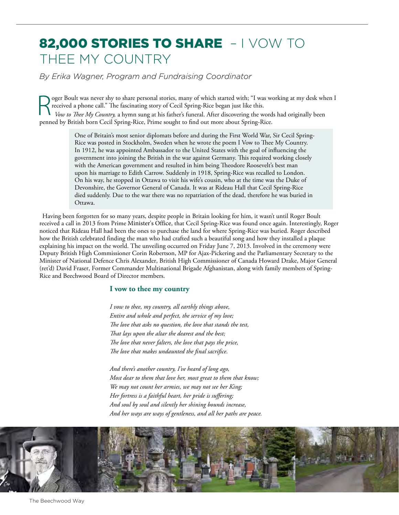### 82,000 STORIES TO SHARE - I VOW TO THEE MY COUNTRY

*By Erika Wagner, Program and Fundraising Coordinator*

R oger Boult was never shy to share personal stories, many of which started with; "I was working at my desk when I received a phone call." The fascinating story of Cecil Spring-Rice began just like this. *Vow to Thee My Country,* a hymn sung at his father's funeral. After discovering the words had originally been penned by British born Cecil Spring-Rice, Prime sought to find out more about Spring-Rice.

> One of Britain's most senior diplomats before and during the First World War, Sir Cecil Spring-Rice was posted in Stockholm, Sweden when he wrote the poem I Vow to Thee My Country. In 1912, he was appointed Ambassador to the United States with the goal of influencing the government into joining the British in the war against Germany. This required working closely with the American government and resulted in him being Theodore Roosevelt's best man upon his marriage to Edith Carrow. Suddenly in 1918, Spring-Rice was recalled to London. On his way, he stopped in Ottawa to visit his wife's cousin, who at the time was the Duke of Devonshire, the Governor General of Canada. It was at Rideau Hall that Cecil Spring-Rice died suddenly. Due to the war there was no repatriation of the dead, therefore he was buried in Ottawa.

Having been forgotten for so many years, despite people in Britain looking for him, it wasn't until Roger Boult received a call in 2013 from Prime Minister's Office, that Cecil Spring-Rice was found once again. Interestingly, Roger noticed that Rideau Hall had been the ones to purchase the land for where Spring-Rice was buried. Roger described how the British celebrated finding the man who had crafted such a beautiful song and how they installed a plaque explaining his impact on the world. The unveiling occurred on Friday June 7, 2013. Involved in the ceremony were Deputy British High Commissioner Corin Robertson, MP for Ajax-Pickering and the Parliamentary Secretary to the Minister of National Defence Chris Alexander, British High Commissioner of Canada Howard Drake, Major General (ret'd) David Fraser, Former Commander Multinational Brigade Afghanistan, along with family members of Spring-Rice and Beechwood Board of Director members.

#### **I vow to thee my country**

*I vow to thee, my country, all earthly things above, Entire and whole and perfect, the service of my love; The love that asks no question, the love that stands the test, That lays upon the altar the dearest and the best; The love that never falters, the love that pays the price, The love that makes undaunted the final sacrifice.* 

*And there's another country, I've heard of long ago, Most dear to them that love her, most great to them that know; We may not count her armies, we may not see her King; Her fortress is a faithful heart, her pride is suffering; And soul by soul and silently her shining bounds increase, And her ways are ways of gentleness, and all her paths are peace.*